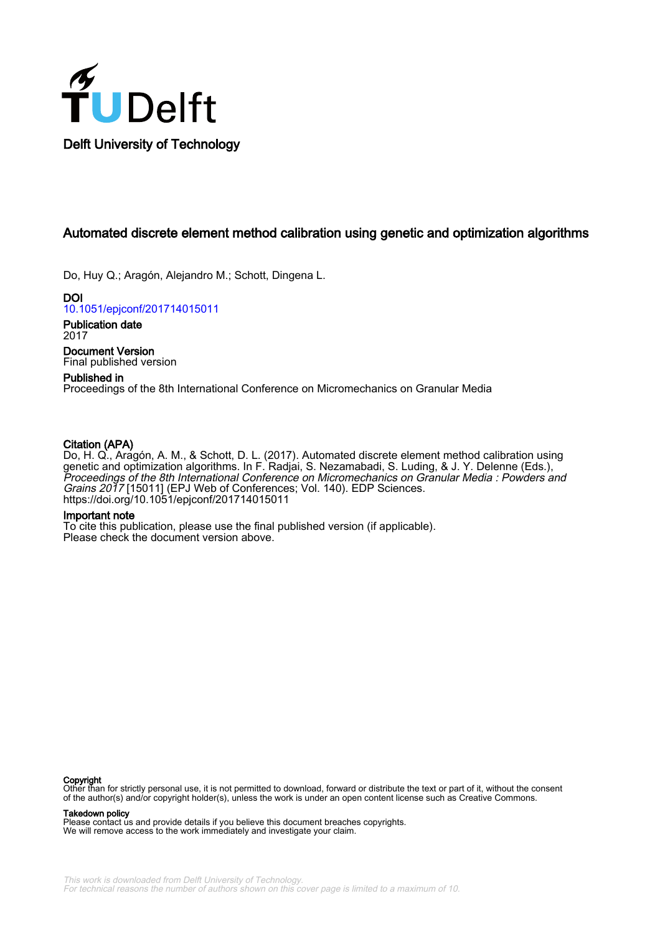

## Automated discrete element method calibration using genetic and optimization algorithms

Do, Huy Q.; Aragón, Alejandro M.; Schott, Dingena L.

DOI [10.1051/epjconf/201714015011](https://doi.org/10.1051/epjconf/201714015011)

Publication date 2017 Document Version

Final published version

### Published in

Proceedings of the 8th International Conference on Micromechanics on Granular Media

### Citation (APA)

Do, H. Q., Aragón, A. M., & Schott, D. L. (2017). Automated discrete element method calibration using genetic and optimization algorithms. In F. Radjai, S. Nezamabadi, S. Luding, & J. Y. Delenne (Eds.), Proceedings of the 8th International Conference on Micromechanics on Granular Media : Powders and Grains 2017 [15011] (EPJ Web of Conferences; Vol. 140). EDP Sciences. <https://doi.org/10.1051/epjconf/201714015011>

### Important note

To cite this publication, please use the final published version (if applicable). Please check the document version above.

**Copyright**<br>Other than for strictly personal use, it is not permitted to download, forward or distribute the text or part of it, without the consent of the author(s) and/or copyright holder(s), unless the work is under an open content license such as Creative Commons.

Takedown policy

Please contact us and provide details if you believe this document breaches copyrights. We will remove access to the work immediately and investigate your claim.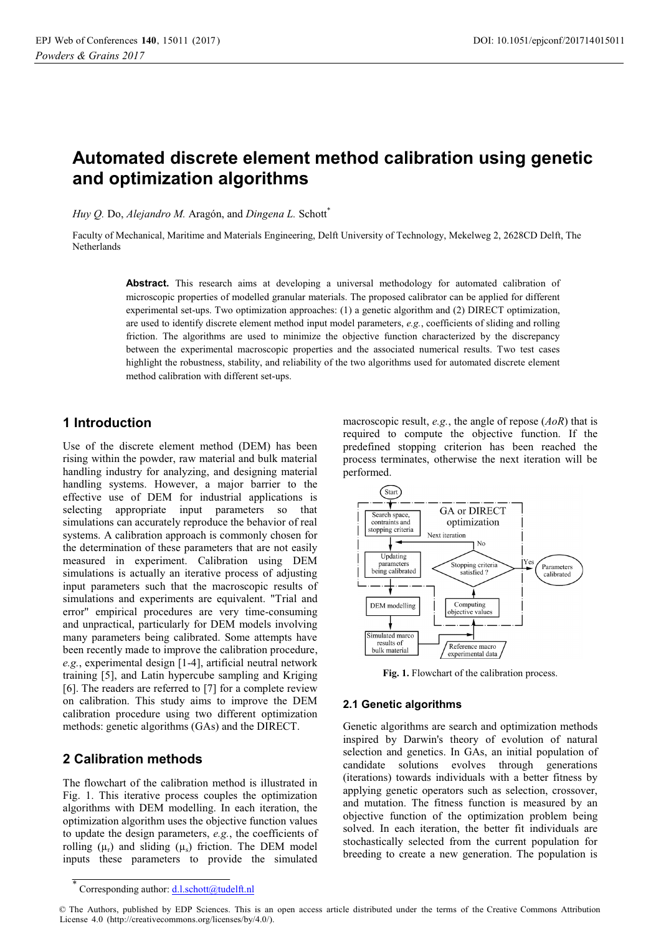# **Automated discrete element method calibration using genetic and optimization algorithms**

*Huy Q.* Do, *Alejandro M.* Aragón, and *Dingena L.* Schott\*

Faculty of Mechanical, Maritime and Materials Engineering, Delft University of Technology, Mekelweg 2, 2628CD Delft, The **Netherlands** 

> Abstract. This research aims at developing a universal methodology for automated calibration of microscopic properties of modelled granular materials. The proposed calibrator can be applied for different experimental set-ups. Two optimization approaches: (1) a genetic algorithm and (2) DIRECT optimization, are used to identify discrete element method input model parameters, *e.g.*, coefficients of sliding and rolling friction. The algorithms are used to minimize the objective function characterized by the discrepancy between the experimental macroscopic properties and the associated numerical results. Two test cases highlight the robustness, stability, and reliability of the two algorithms used for automated discrete element method calibration with different set-ups.

### **1 Introduction**

Use of the discrete element method (DEM) has been rising within the powder, raw material and bulk material handling industry for analyzing, and designing material handling systems. However, a major barrier to the effective use of DEM for industrial applications is selecting appropriate input parameters so that simulations can accurately reproduce the behavior of real systems. A calibration approach is commonly chosen for the determination of these parameters that are not easily measured in experiment. Calibration using DEM simulations is actually an iterative process of adjusting input parameters such that the macroscopic results of simulations and experiments are equivalent. "Trial and error" empirical procedures are very time-consuming and unpractical, particularly for DEM models involving many parameters being calibrated. Some attempts have been recently made to improve the calibration procedure, *e.g.*, experimental design [1-4], artificial neutral network  $\frac{1}{2}$  and Latin hypercube sampling and Kriging  $[6]$ . The readers are referred to  $[7]$  for a complete review on calibration. This study aims to improve the DEM calibration procedure using two different optimization methods: genetic algorithms (GAs) and the DIRECT.

### **2 Calibration methods**

The flowchart of the calibration method is illustrated in Fig. 1. This iterative process couples the optimization algorithms with DEM modelling. In each iteration, the optimization algorithm uses the objective function values to undate the design parameters. e.g., the coefficients of rolling  $(\mu_r)$  and sliding  $(\mu_s)$  friction. The DEM model inputs these parameters to provide the simulated

macroscopic result, e.g., the angle of repose  $(A_0R)$  that is required to compute the objective function. If the predefined stopping criterion has been reached the process terminates, otherwise the next iteration will be performed.



Fig. 1. Flowchart of the calibration process.

### **2.1 Genetic algorithms**

Genetic algorithms are search and optimization methods inspired by Darwin's theory of evolution of natural selection and genetics. In GAs, an initial population of candidate solutions evolves through generations (iterations) towards individuals with a better fitness by applying genetic operators such as selection, crossover, and mutation. The fitness function is measured by an objective function of the optimization problem being solved. In each iteration, the better fit individuals are stochastically selected from the current population for breeding to create a new generation. The population is

Corresponding author: d.l.schott@tudelft.nl

<sup>©</sup> The Authors, published by EDP Sciences. This is an open access article distributed under the terms of the Creative Commons Attribution License 4.0 (http://creativecommons.org/licenses/by/4.0/).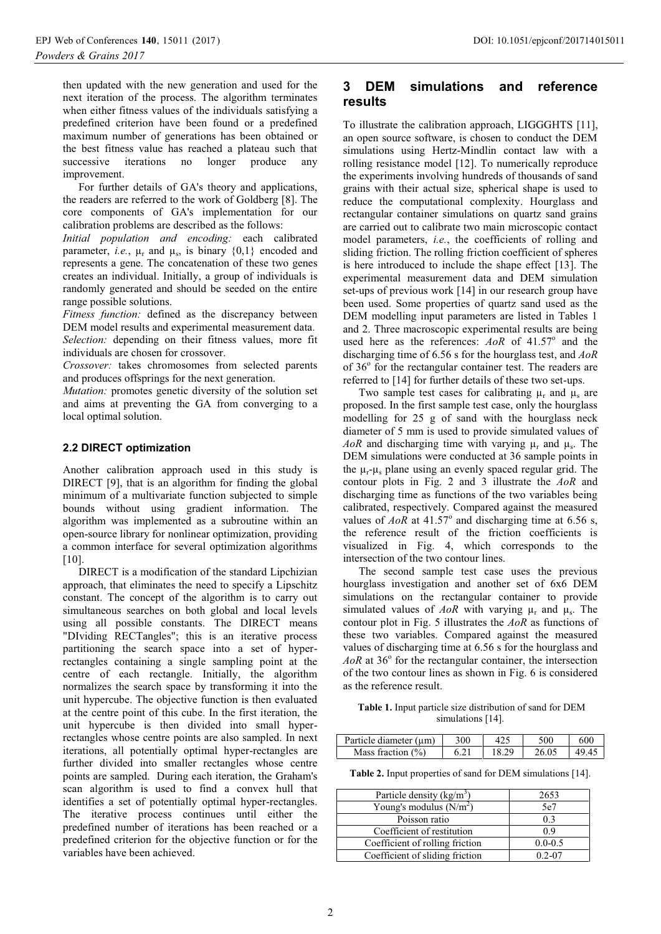then updated with the new generation and used for the next iteration of the process. The algorithm terminates when either fitness values of the individuals satisfying a predefined criterion have been found or a predefined maximum number of generations has been obtained or the best fitness value has reached a plateau such that successive iterations no longer produce any improvement.

For further details of GA's theory and applications, the readers are referred to the work of Goldberg [8]. The core components of GA's implementation for our calibration problems are described as the follows:

Initial population and encoding: each calibrated parameter, *i.e.*,  $\mu_r$  and  $\mu_s$ , is binary  $\{0,1\}$  encoded and represents a gene. The concatenation of these two genes creates an individual. Initially, a group of individuals is randomly generated and should be seeded on the entire range possible solutions.

*Fitness function:* defined as the discrepancy between DEM model results and experimental measurement data. Selection: depending on their fitness values, more fit individuals are chosen for crossover.

Crossover: takes chromosomes from selected parents and produces offsprings for the next generation.

*Mutation:* promotes genetic diversity of the solution set and aims at preventing the GA from converging to a local optimal solution.

### 2.2 DIRECT optimization

Another calibration approach used in this study is DIRECT [9], that is an algorithm for finding the global minimum of a multivariate function subjected to simple bounds without using gradient information. The algorithm was implemented as a subroutine within an open-source library for nonlinear optimization, providing a common interface for several optimization algorithms  $[10]$ 

DIRECT is a modification of the standard Lipchizian approach, that eliminates the need to specify a Lipschitz constant. The concept of the algorithm is to carry out simultaneous searches on both global and local levels using all possible constants. The DIRECT means "DIviding RECTangles"; this is an iterative process partitioning the search space into a set of hyperrectangles containing a single sampling point at the centre of each rectangle. Initially, the algorithm normalizes the search space by transforming it into the unit hypercube. The objective function is then evaluated at the centre point of this cube. In the first iteration, the unit hypercube is then divided into small hyperrectangles whose centre points are also sampled. In next iterations, all potentially optimal hyper-rectangles are further divided into smaller rectangles whose centre points are sampled. During each iteration, the Graham's scan algorithm is used to find a convex hull that identifies a set of potentially optimal hyper-rectangles. The iterative process continues until either the predefined number of iterations has been reached or a predefined criterion for the objective function or for the variables have been achieved.

### **DEM** simulations 3 and reference results

To illustrate the calibration approach, LIGGGHTS [11], an open source software, is chosen to conduct the DEM simulations using Hertz-Mindlin contact law with a rolling resistance model [12]. To numerically reproduce the experiments involving hundreds of thousands of sand grains with their actual size, spherical shape is used to reduce the computational complexity. Hourglass and rectangular container simulations on quartz sand grains are carried out to calibrate two main microscopic contact model parameters, *i.e.*, the coefficients of rolling and sliding friction. The rolling friction coefficient of spheres is here introduced to include the shape effect [13]. The experimental measurement data and DEM simulation set-ups of previous work [14] in our research group have been used. Some properties of quartz sand used as the DEM modelling input parameters are listed in Tables 1 and 2. Three macroscopic experimental results are being used here as the references:  $A \circ R$  of 41.57° and the discharging time of 6.56 s for the hourglass test, and  $A \circ R$ of 36° for the rectangular container test. The readers are referred to [14] for further details of these two set-ups.

Two sample test cases for calibrating  $\mu_r$  and  $\mu_s$  are proposed. In the first sample test case, only the hourglass modelling for 25 g of sand with the hourglass neck diameter of 5 mm is used to provide simulated values of AoR and discharging time with varying  $\mu_r$  and  $\mu_s$ . The DEM simulations were conducted at 36 sample points in the  $\mu_r - \mu_s$  plane using an evenly spaced regular grid. The contour plots in Fig. 2 and 3 illustrate the  $A \circ R$  and discharging time as functions of the two variables being calibrated, respectively. Compared against the measured values of AoR at  $41.57^{\circ}$  and discharging time at 6.56 s, the reference result of the friction coefficients is visualized in Fig. 4, which corresponds to the intersection of the two contour lines.

The second sample test case uses the previous hourglass investigation and another set of 6x6 DEM simulations on the rectangular container to provide simulated values of AoR with varying  $\mu_r$  and  $\mu_s$ . The contour plot in Fig. 5 illustrates the  $A \circ R$  as functions of these two variables. Compared against the measured values of discharging time at 6.56 s for the hourglass and  $A \circ R$  at 36 $\degree$  for the rectangular container, the intersection of the two contour lines as shown in Fig. 6 is considered as the reference result.

Table 1. Input particle size distribution of sand for DEM simulations [14].

| Particle diameter $(\mu m)$ | 300 |       | 500   | -600  |
|-----------------------------|-----|-------|-------|-------|
| Mass fraction $(\%)$        |     | 18.29 | 26.05 | 49.45 |

Table 2. Input properties of sand for DEM simulations [14].

| Particle density $(kg/m3)$      | 2653        |
|---------------------------------|-------------|
| Young's modulus $(N/m2)$        | 5e7         |
| Poisson ratio                   | 0.3         |
| Coefficient of restitution      | 0.9         |
| Coefficient of rolling friction | $0.0 - 0.5$ |
| Coefficient of sliding friction | $0.2 - 07$  |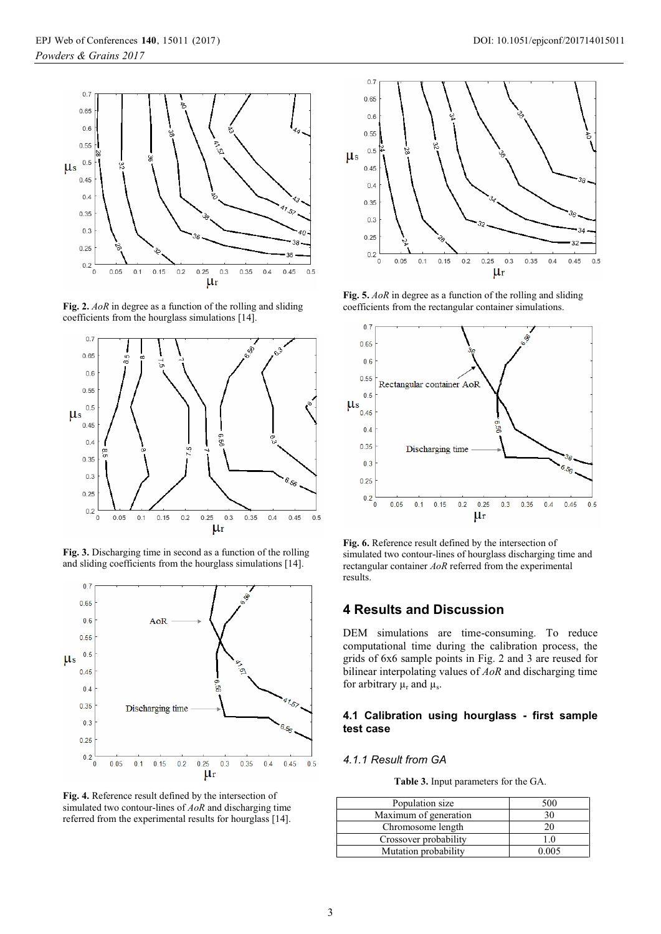

**Fig. 2.** *AoR* in degree as a function of the rolling and sliding coefficients from the hourglass simulations  $[14]$ .



**Fig. 3.** Discharging time in second as a function of the rolling and sliding coefficients from the hourglass simulations  $[14]$ .







**Fig. 5.** *AoR* in degree as a function of the rolling and sliding coefficients from the rectangular container simulations.



**Fig. 6.** Reference result defined by the intersection of simulated two contour-lines of hourglass discharging time and rectangular container *AoR* referred from the experimental results.

### **4 Results and Discussion**

DEM simulations are time-consuming. To reduce computational time during the calibration process, the  $\frac{3}{2}$  and  $\frac{3}{2}$  are example points in Fig. 2 and 3 are reused for bilinear interpolating values of *AoR* and discharging time for arbitrary  $\mu_r$  and  $\mu_s$ .

### **4.1 Calibration using hourglass - first sample test case**

### *4.1.1 Result from GA*

**Table 3.** Input parameters for the GA.

| Population size       | 500   |
|-----------------------|-------|
| Maximum of generation | 30    |
| Chromosome length     | 20    |
| Crossover probability | 1.0   |
| Mutation probability  | ) በበ5 |